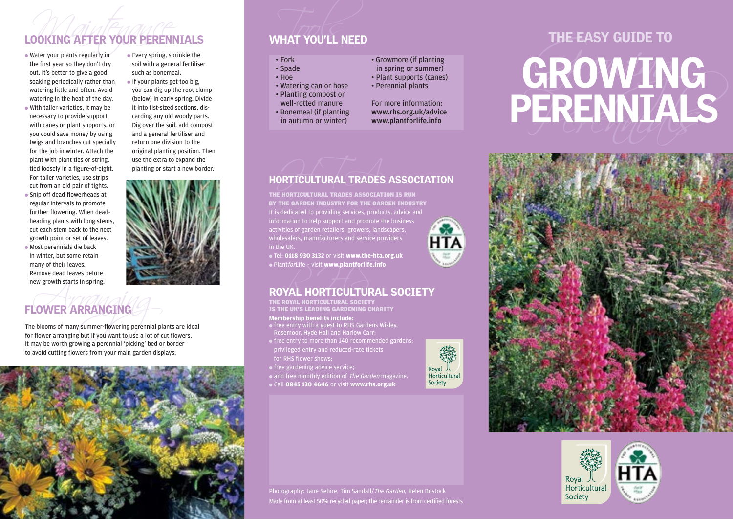● Water your plants regularly in the first year so they don't dry out. It's better to give a good soaking periodically rather than watering little and often. Avoid watering in the heat of the day. ● With taller varieties, it may be necessary to provide support with canes or plant supports, or you could save money by using twigs and branches cut specially for the job in winter. Attach the plant with plant ties or string, tied loosely in a figure-of-eight. For taller varieties, use strips cut from an old pair of tights. ● Snip off dead flowerheads at regular intervals to promote further flowering. When deadheading plants with long stems, cut each stem back to the next

growth point or set of leaves. ● Most perennials die back in winter, but some retain many of their leaves. Remove dead leaves before new growth starts in spring.

 $\bullet$  Every spring, sprinkle the soil with a general fertiliser such as bonemeal.

● If your plants get too big, you can dig up the root clump (below) in early spring. Divide it into fist-sized sections, discarding any old woody parts. Dig over the soil, add compost and a general fertiliser and return one division to the original planting position. Then use the extra to expand the planting or start a new border.



### FLOWER ARRANGING

EVER ARRANGING<br>Arrange Holooms of many summer-flowering perennial play<br>Arranging but if you want to use a lot of c The blooms of many summer-flowering perennial plants are ideal for flower arranging but if you want to use a lot of cut flowers, it may be worth growing a perennial 'picking' bed or border to avoid cutting flowers from your main garden displays.



- 
- 
- 
- 
- 
- 
- 



### HORTICULTURAL TRADES ASSOCIATION

THE HORTICULTURAL TRADES ASSOCIATION IS RUN BY THE GARDEN INDUSTRY FOR THE GARDEN INDUSTRY It is dedicated to providing services, products, advice and information to help support and promote the business **HTA** activities of garden retailers, growers, landscapers, wholesalers, manufacturers and service providers in the UK.

● Tel: **0118 930 3132** or visit **www.the-hta.org.uk** ● PlantforLife – visit **www.plantforlife.info**

## $\bullet$  Plant*for*Life – visit www.plantforlife.info<br>ROYAL HORTICULTURAL SOCIETY

THE ROYAL HORTICULTURAL SOCIETY IS THE UK'S LEADING GARDENING CHARITY

### **Membership benefits include:**

- free entry with a guest to RHS Gardens Wisley, Rosemoor, Hyde Hall and Harlow Carr;
- free entry to more than 140 recommended gardens; privileged entry and reduced-rate tickets for RHS flower shows;
- free gardening advice service;

• and free monthly edition of The Garden magazine.

● Call **0845 130 4646** or visit **www.rhs.org.uk**



# LOOKING AFTER YOUR PERENNIALS<br>
• Water your plants regularly in every spring, sprinkle the<br>
the first year so they don't dry<br>
the first year so they don't dry<br>
soli with a general fertiliser<br>
soli water to give a good such





Photography: Jane Sebire, Tim Sandall/The Garden, Helen Bostock Made from at least 50% recycled paper; the remainder is from certified forests